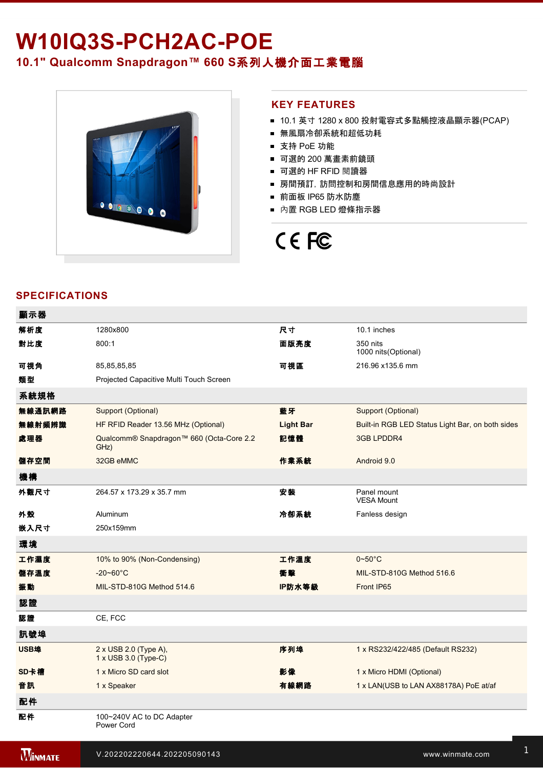# W10IQ3S-PCH2AC-POE **10.1" Qualcomm Snapdragon™ 660 S**系列人機介面工業電腦



## **KEY FEATURES**

- 10.1 英寸 1280 x 800 投射電容式多點觸控液晶顯示器(PCAP)
- 無風扇冷卻系統和超低功耗
- 支持 PoE 功能
- 可選的 200 萬畫素前鏡頭
- 可選的 HF RFID 閱讀器
- 房間預訂,訪問控制和房間信息應用的時尚設計
- 前面板 IP65 防水防塵
- 內置 RGB LED 燈條指示器

# CE FC

# **SPECIFICATIONS**

| 顯示器    |                                                  |                  |                                                  |
|--------|--------------------------------------------------|------------------|--------------------------------------------------|
| 解析度    | 1280x800                                         | 尺寸               | 10.1 inches                                      |
| 對比度    | 800:1                                            | 面版亮度             | 350 nits<br>1000 nits(Optional)                  |
| 可視角    | 85,85,85,85                                      | 可視區              | 216.96 x135.6 mm                                 |
| 類型     | Projected Capacitive Multi Touch Screen          |                  |                                                  |
| 系統規格   |                                                  |                  |                                                  |
| 無線通訊網路 | Support (Optional)                               | 藍牙               | Support (Optional)                               |
| 無線射頻辨識 | HF RFID Reader 13.56 MHz (Optional)              | <b>Light Bar</b> | Built-in RGB LED Status Light Bar, on both sides |
| 處理器    | Qualcomm® Snapdragon™ 660 (Octa-Core 2.2<br>GHz) | 記憶體              | 3GB LPDDR4                                       |
| 儲存空間   | 32GB eMMC                                        | 作業系統             | Android 9.0                                      |
| 機構     |                                                  |                  |                                                  |
| 外觀尺寸   | 264.57 x 173.29 x 35.7 mm                        | 安装               | Panel mount<br><b>VESA Mount</b>                 |
| 外殼     | Aluminum                                         | 冷卻系統             | Fanless design                                   |
| 嵌入尺寸   | 250x159mm                                        |                  |                                                  |
| 環境     |                                                  |                  |                                                  |
| 工作濕度   | 10% to 90% (Non-Condensing)                      | 工作溫度             | $0 - 50$ °C                                      |
| 儲存溫度   | $-20 - 60^{\circ}C$                              | 衝擊               | MIL-STD-810G Method 516.6                        |
| 振動     | MIL-STD-810G Method 514.6                        | IP防水等級           | Front IP65                                       |
| 認證     |                                                  |                  |                                                  |
| 認證     | CE, FCC                                          |                  |                                                  |
| 訊號埠    |                                                  |                  |                                                  |
| USB埠   | 2 x USB 2.0 (Type A),<br>1 x USB 3.0 (Type-C)    | 序列埠              | 1 x RS232/422/485 (Default RS232)                |
| SD卡槽   | 1 x Micro SD card slot                           | 影像               | 1 x Micro HDMI (Optional)                        |
| 音訊     | 1 x Speaker                                      | 有線網路             | 1 x LAN(USB to LAN AX88178A) PoE at/af           |
| 配件     |                                                  |                  |                                                  |
| 配件     | 100~240V AC to DC Adapter<br>Power Cord          |                  |                                                  |
|        |                                                  |                  |                                                  |